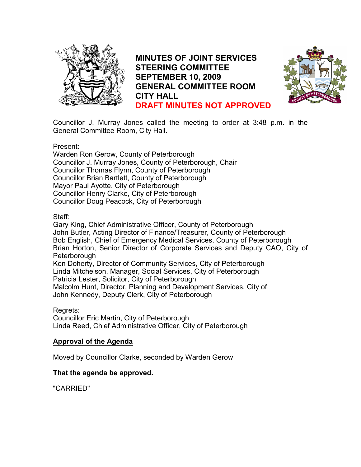

MINUTES OF JOINT SERVICES STEERING COMMITTEE SEPTEMBER 10, 2009 GENERAL COMMITTEE ROOM CITY HALL DRAFT MINUTES NOT APPROVED



Councillor J. Murray Jones called the meeting to order at 3:48 p.m. in the General Committee Room, City Hall.

#### Present:

Warden Ron Gerow, County of Peterborough Councillor J. Murray Jones, County of Peterborough, Chair Councillor Thomas Flynn, County of Peterborough Councillor Brian Bartlett, County of Peterborough Mayor Paul Ayotte, City of Peterborough Councillor Henry Clarke, City of Peterborough Councillor Doug Peacock, City of Peterborough

# Staff:

Gary King, Chief Administrative Officer, County of Peterborough John Butler, Acting Director of Finance/Treasurer, County of Peterborough Bob English, Chief of Emergency Medical Services, County of Peterborough Brian Horton, Senior Director of Corporate Services and Deputy CAO, City of **Peterborough** Ken Doherty, Director of Community Services, City of Peterborough Linda Mitchelson, Manager, Social Services, City of Peterborough Patricia Lester, Solicitor, City of Peterborough Malcolm Hunt, Director, Planning and Development Services, City of John Kennedy, Deputy Clerk, City of Peterborough

# Regrets:

Councillor Eric Martin, City of Peterborough Linda Reed, Chief Administrative Officer, City of Peterborough

# Approval of the Agenda

Moved by Councillor Clarke, seconded by Warden Gerow

# That the agenda be approved.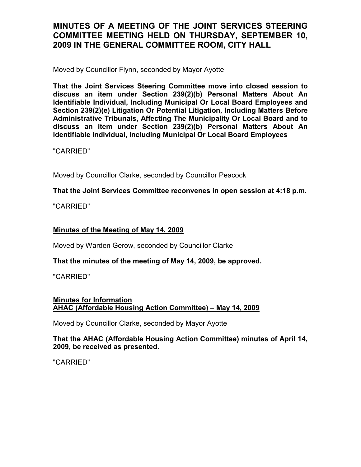Moved by Councillor Flynn, seconded by Mayor Ayotte

That the Joint Services Steering Committee move into closed session to discuss an item under Section 239(2)(b) Personal Matters About An Identifiable Individual, Including Municipal Or Local Board Employees and Section 239(2)(e) Litigation Or Potential Litigation, Including Matters Before Administrative Tribunals, Affecting The Municipality Or Local Board and to discuss an item under Section 239(2)(b) Personal Matters About An Identifiable Individual, Including Municipal Or Local Board Employees

"CARRIED"

Moved by Councillor Clarke, seconded by Councillor Peacock

That the Joint Services Committee reconvenes in open session at 4:18 p.m.

"CARRIED"

# Minutes of the Meeting of May 14, 2009

Moved by Warden Gerow, seconded by Councillor Clarke

# That the minutes of the meeting of May 14, 2009, be approved.

"CARRIED"

# Minutes for Information AHAC (Affordable Housing Action Committee) – May 14, 2009

Moved by Councillor Clarke, seconded by Mayor Ayotte

That the AHAC (Affordable Housing Action Committee) minutes of April 14, 2009, be received as presented.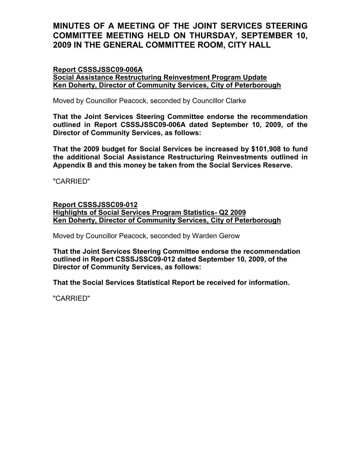#### Report CSSSJSSC09-006A

Social Assistance Restructuring Reinvestment Program Update Ken Doherty, Director of Community Services, City of Peterborough

Moved by Councillor Peacock, seconded by Councillor Clarke

That the Joint Services Steering Committee endorse the recommendation outlined in Report CSSSJSSC09-006A dated September 10, 2009, of the Director of Community Services, as follows:

That the 2009 budget for Social Services be increased by \$101,908 to fund the additional Social Assistance Restructuring Reinvestments outlined in Appendix B and this money be taken from the Social Services Reserve.

"CARRIED"

### Report CSSSJSSC09-012 Highlights of Social Services Program Statistics- Q2 2009 Ken Doherty, Director of Community Services, City of Peterborough

Moved by Councillor Peacock, seconded by Warden Gerow

That the Joint Services Steering Committee endorse the recommendation outlined in Report CSSSJSSC09-012 dated September 10, 2009, of the Director of Community Services, as follows:

That the Social Services Statistical Report be received for information.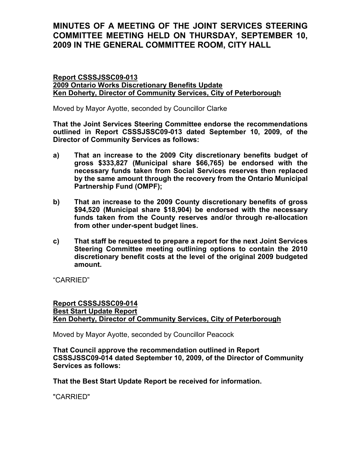Report CSSSJSSC09-013 2009 Ontario Works Discretionary Benefits Update Ken Doherty, Director of Community Services, City of Peterborough

Moved by Mayor Ayotte, seconded by Councillor Clarke

That the Joint Services Steering Committee endorse the recommendations outlined in Report CSSSJSSC09-013 dated September 10, 2009, of the Director of Community Services as follows:

- a) That an increase to the 2009 City discretionary benefits budget of gross \$333,827 (Municipal share \$66,765) be endorsed with the necessary funds taken from Social Services reserves then replaced by the same amount through the recovery from the Ontario Municipal Partnership Fund (OMPF);
- b) That an increase to the 2009 County discretionary benefits of gross \$94,520 (Municipal share \$18,904) be endorsed with the necessary funds taken from the County reserves and/or through re-allocation from other under-spent budget lines.
- c) That staff be requested to prepare a report for the next Joint Services Steering Committee meeting outlining options to contain the 2010 discretionary benefit costs at the level of the original 2009 budgeted amount.

"CARRIED"

### Report CSSSJSSC09-014 Best Start Update Report Ken Doherty, Director of Community Services, City of Peterborough

Moved by Mayor Ayotte, seconded by Councillor Peacock

That Council approve the recommendation outlined in Report CSSSJSSC09-014 dated September 10, 2009, of the Director of Community Services as follows:

That the Best Start Update Report be received for information.